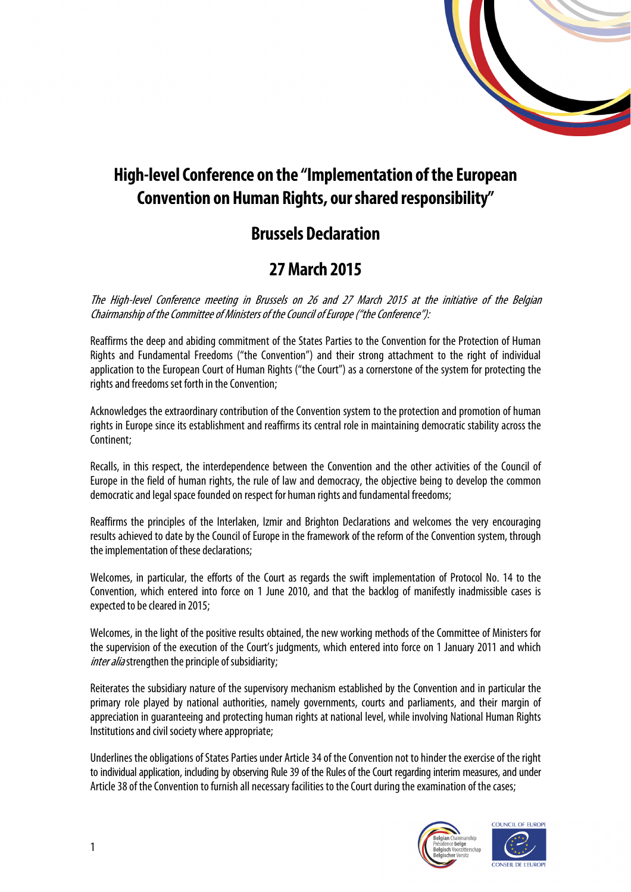

# **High-level Conference on the "Implementation of the European Convention on Human Rights, our shared responsibility"**

## **Brussels Declaration**

## **27 March 2015**

The High-level Conference meeting in Brussels on 26 and 27 March 2015 at the initiative of the Belgian Chairmanship of the Committee of Ministers of the Council of Europe ("the Conference"):

Reaffirms the deep and abiding commitment of the States Parties to the Convention for the Protection of Human Rights and Fundamental Freedoms ("the Convention") and their strong attachment to the right of individual application to the European Court of Human Rights ("the Court") as a cornerstone of the system for protecting the rights and freedoms set forth in the Convention;

Acknowledges the extraordinary contribution of the Convention system to the protection and promotion of human rights in Europe since its establishment and reaffirms its central role in maintaining democratic stability across the Continent;

Recalls, in this respect, the interdependence between the Convention and the other activities of the Council of Europe in the field of human rights, the rule of law and democracy, the objective being to develop the common democratic and legal space founded on respect for human rights and fundamental freedoms;

Reaffirms the principles of the Interlaken, Izmir and Brighton Declarations and welcomes the very encouraging results achieved to date by the Council of Europe in the framework of the reform of the Convention system, through the implementation of these declarations;

Welcomes, in particular, the efforts of the Court as regards the swift implementation of Protocol No. 14 to the Convention, which entered into force on 1 June 2010, and that the backlog of manifestly inadmissible cases is expected to be cleared in 2015;

Welcomes, in the light of the positive results obtained, the new working methods of the Committee of Ministers for the supervision of the execution of the Court's judgments, which entered into force on 1 January 2011 and which inter alia strengthen the principle of subsidiarity;

Reiterates the subsidiary nature of the supervisory mechanism established by the Convention and in particular the primary role played by national authorities, namely governments, courts and parliaments, and their margin of appreciation in guaranteeing and protecting human rights at national level, while involving National Human Rights Institutions and civil society where appropriate;

Underlines the obligations of States Parties under Article 34 of the Convention not to hinder the exercise of the right to individual application, including by observing Rule 39 of the Rules of the Court regarding interim measures, and under Article 38 of the Convention to furnish all necessary facilities to the Court during the examination of the cases;



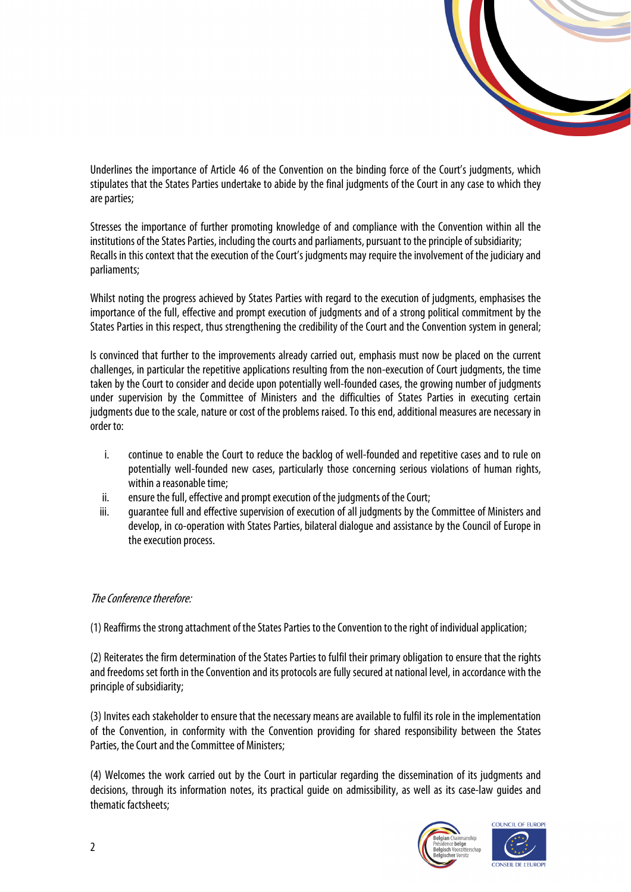

Underlines the importance of Article 46 of the Convention on the binding force of the Court's judgments, which stipulates that the States Parties undertake to abide by the final judgments of the Court in any case to which they are parties;

Stresses the importance of further promoting knowledge of and compliance with the Convention within all the institutions of the States Parties, including the courts and parliaments, pursuant to the principle of subsidiarity; Recalls in this context that the execution of the Court's judgments may require the involvement of the judiciary and parliaments;

Whilst noting the progress achieved by States Parties with regard to the execution of judgments, emphasises the importance of the full, effective and prompt execution of judgments and of a strong political commitment by the States Parties in this respect, thus strengthening the credibility of the Court and the Convention system in general;

Is convinced that further to the improvements already carried out, emphasis must now be placed on the current challenges, in particular the repetitive applications resulting from the non-execution of Court judgments, the time taken by the Court to consider and decide upon potentially well-founded cases, the growing number of judgments under supervision by the Committee of Ministers and the difficulties of States Parties in executing certain judgments due to the scale, nature or cost of the problems raised. To this end, additional measures are necessary in order to:

- i. continue to enable the Court to reduce the backlog of well-founded and repetitive cases and to rule on potentially well-founded new cases, particularly those concerning serious violations of human rights, within a reasonable time;
- ii. ensure the full, effective and prompt execution of the judgments of the Court;
- iii. guarantee full and effective supervision of execution of all judgments by the Committee of Ministers and develop, in co-operation with States Parties, bilateral dialogue and assistance by the Council of Europe in the execution process.

#### The Conference therefore:

(1) Reaffirms the strong attachment of the States Parties to the Convention to the right of individual application;

(2) Reiterates the firm determination of the States Parties to fulfil their primary obligation to ensure that the rights and freedoms set forth in the Convention and its protocols are fully secured at national level, in accordance with the principle of subsidiarity;

(3) Invites each stakeholder to ensure that the necessary means are available to fulfil its role in the implementation of the Convention, in conformity with the Convention providing for shared responsibility between the States Parties, the Court and the Committee of Ministers;

(4) Welcomes the work carried out by the Court in particular regarding the dissemination of its judgments and decisions, through its information notes, its practical guide on admissibility, as well as its case-law guides and thematic factsheets;



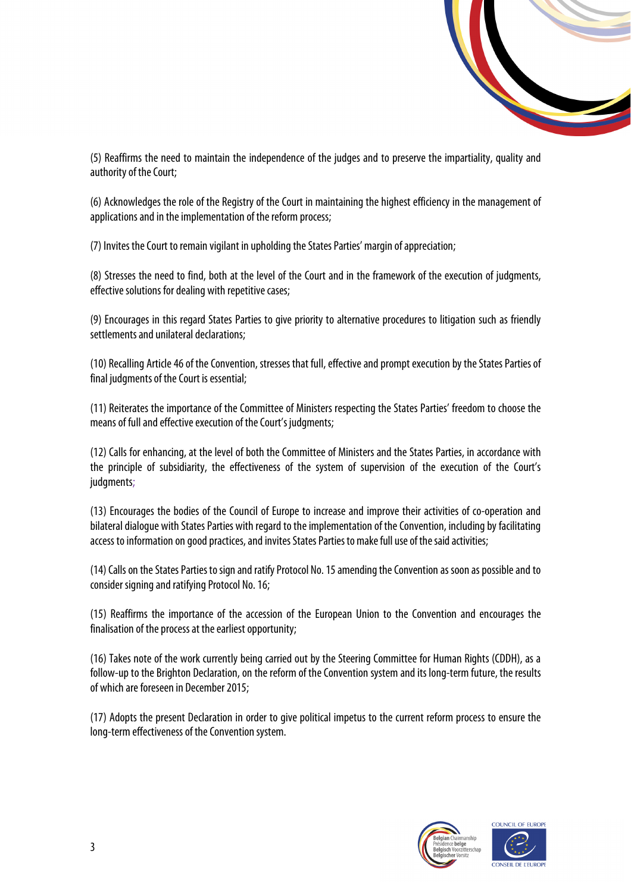

(5) Reaffirms the need to maintain the independence of the judges and to preserve the impartiality, quality and authority of the Court;

(6) Acknowledges the role of the Registry of the Court in maintaining the highest efficiency in the management of applications and in the implementation of the reform process;

(7) Invites the Court to remain vigilant in upholding the States Parties' margin of appreciation;

(8) Stresses the need to find, both at the level of the Court and in the framework of the execution of judgments, effective solutions for dealing with repetitive cases;

(9) Encourages in this regard States Parties to give priority to alternative procedures to litigation such as friendly settlements and unilateral declarations;

(10) Recalling Article 46 of the Convention, stresses that full, effective and prompt execution by the States Parties of final judgments of the Court is essential;

(11) Reiterates the importance of the Committee of Ministers respecting the States Parties' freedom to choose the means of full and effective execution of the Court's judgments;

(12) Calls for enhancing, at the level of both the Committee of Ministers and the States Parties, in accordance with the principle of subsidiarity, the effectiveness of the system of supervision of the execution of the Court's judgments;

(13) Encourages the bodies of the Council of Europe to increase and improve their activities of co-operation and bilateral dialogue with States Parties with regard to the implementation of the Convention, including by facilitating access to information on good practices, and invites States Parties to make full use of the said activities;

(14) Calls on the States Parties to sign and ratify Protocol No. 15 amending the Convention as soon as possible and to consider signing and ratifying Protocol No. 16;

(15) Reaffirms the importance of the accession of the European Union to the Convention and encourages the finalisation of the process at the earliest opportunity;

(16) Takes note of the work currently being carried out by the Steering Committee for Human Rights (CDDH), as a follow-up to the Brighton Declaration, on the reform of the Convention system and its long-term future, the results of which are foreseen in December 2015;

(17) Adopts the present Declaration in order to give political impetus to the current reform process to ensure the long-term effectiveness of the Convention system.



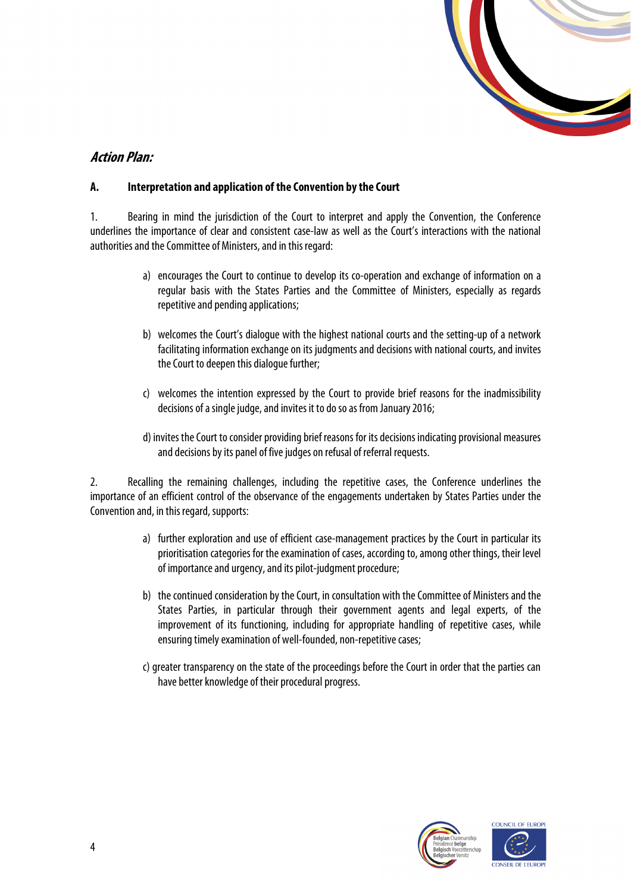

## **Action Plan:**

#### **A. Interpretation and application of the Convention by the Court**

1. Bearing in mind the jurisdiction of the Court to interpret and apply the Convention, the Conference underlines the importance of clear and consistent case-law as well as the Court's interactions with the national authorities and the Committee of Ministers, and in this regard:

- a) encourages the Court to continue to develop its co-operation and exchange of information on a regular basis with the States Parties and the Committee of Ministers, especially as regards repetitive and pending applications;
- b) welcomes the Court's dialogue with the highest national courts and the setting-up of a network facilitating information exchange on its judgments and decisions with national courts, and invites the Court to deepen this dialogue further;
- c) welcomes the intention expressed by the Court to provide brief reasons for the inadmissibility decisions of a single judge, and invites it to do so as from January 2016;
- d) invites the Court to consider providing brief reasons for its decisions indicating provisional measures and decisions by its panel of five judges on refusal of referral requests.

2. Recalling the remaining challenges, including the repetitive cases, the Conference underlines the importance of an efficient control of the observance of the engagements undertaken by States Parties under the Convention and, in this regard, supports:

- a) further exploration and use of efficient case-management practices by the Court in particular its prioritisation categories for the examination of cases, according to, among other things, their level of importance and urgency, and its pilot-judgment procedure;
- b) the continued consideration by the Court, in consultation with the Committee of Ministers and the States Parties, in particular through their government agents and legal experts, of the improvement of its functioning, including for appropriate handling of repetitive cases, while ensuring timely examination of well-founded, non-repetitive cases;
- c) greater transparency on the state of the proceedings before the Court in order that the parties can have better knowledge of their procedural progress.



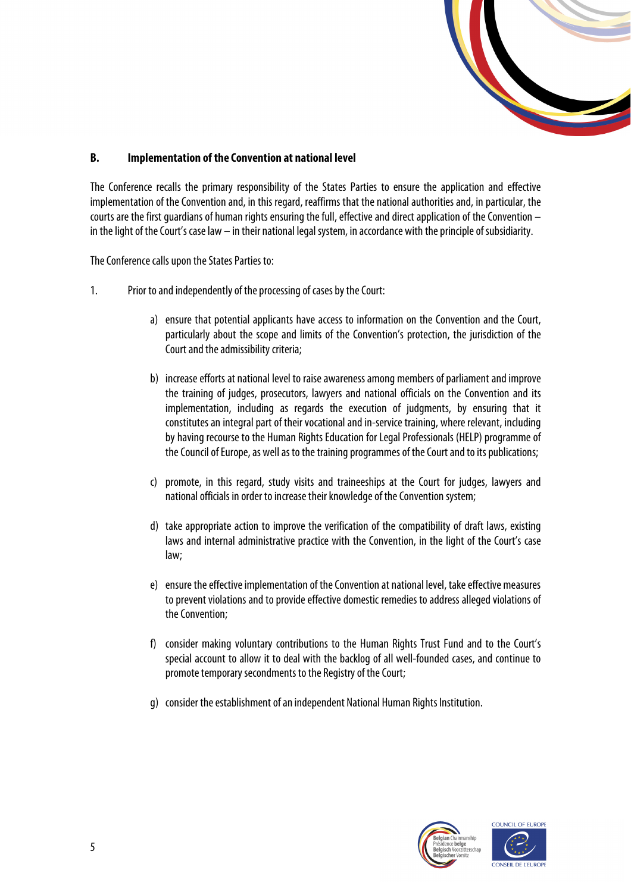

### **B. Implementation of the Convention at national level**

The Conference recalls the primary responsibility of the States Parties to ensure the application and effective implementation of the Convention and, in this regard, reaffirms that the national authorities and, in particular, the courts are the first guardians of human rights ensuring the full, effective and direct application of the Convention  $$ in the light of the Court's case law – in their national legal system, in accordance with the principle of subsidiarity.

The Conference calls upon the States Parties to:

- 1. Prior to and independently of the processing of cases by the Court:
	- a) ensure that potential applicants have access to information on the Convention and the Court, particularly about the scope and limits of the Convention's protection, the jurisdiction of the Court and the admissibility criteria;
	- b) increase efforts at national level to raise awareness among members of parliament and improve the training of judges, prosecutors, lawyers and national officials on the Convention and its implementation, including as regards the execution of judgments, by ensuring that it constitutes an integral part of their vocational and in-service training, where relevant, including by having recourse to the Human Rights Education for Legal Professionals (HELP) programme of the Council of Europe, as well as to the training programmes of the Court and to its publications;
	- c) promote, in this regard, study visits and traineeships at the Court for judges, lawyers and national officials in order to increase their knowledge of the Convention system;
	- d) take appropriate action to improve the verification of the compatibility of draft laws, existing laws and internal administrative practice with the Convention, in the light of the Court's case law;
	- e) ensure the effective implementation of the Convention at national level, take effective measures to prevent violations and to provide effective domestic remedies to address alleged violations of the Convention;
	- f) consider making voluntary contributions to the Human Rights Trust Fund and to the Court's special account to allow it to deal with the backlog of all well-founded cases, and continue to promote temporary secondments to the Registry of the Court;
	- g) consider the establishment of an independent National Human Rights Institution.



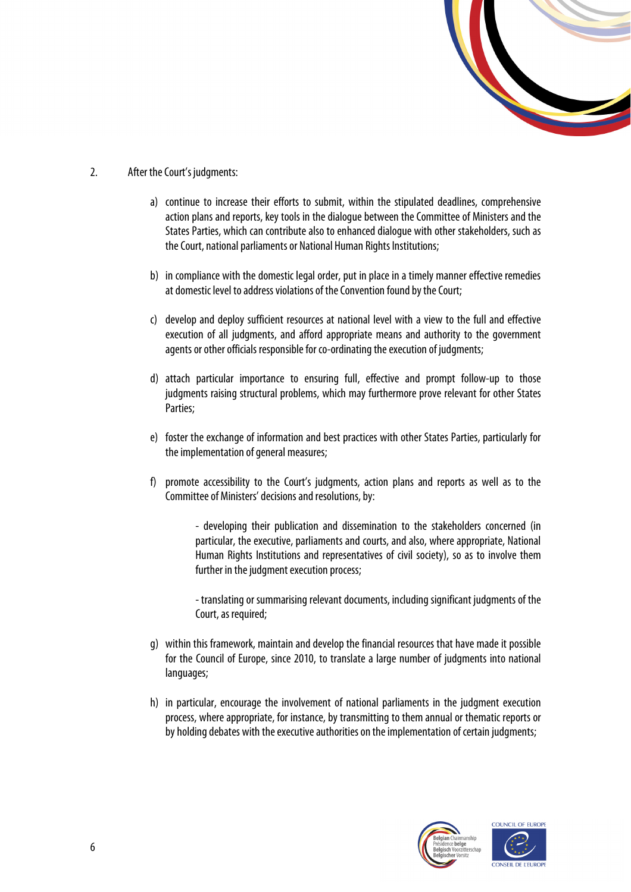

- 2. After the Court's judgments:
	- a) continue to increase their efforts to submit, within the stipulated deadlines, comprehensive action plans and reports, key tools in the dialogue between the Committee of Ministers and the States Parties, which can contribute also to enhanced dialogue with other stakeholders, such as the Court, national parliaments or National Human Rights Institutions;
	- b) in compliance with the domestic legal order, put in place in a timely manner effective remedies at domestic level to address violations of the Convention found by the Court;
	- c) develop and deploy sufficient resources at national level with a view to the full and effective execution of all judgments, and afford appropriate means and authority to the government agents or other officials responsible for co-ordinating the execution of judgments;
	- d) attach particular importance to ensuring full, effective and prompt follow-up to those judgments raising structural problems, which may furthermore prove relevant for other States Parties;
	- e) foster the exchange of information and best practices with other States Parties, particularly for the implementation of general measures;
	- f) promote accessibility to the Court's judgments, action plans and reports as well as to the Committee of Ministers' decisions and resolutions, by:

- developing their publication and dissemination to the stakeholders concerned (in particular, the executive, parliaments and courts, and also, where appropriate, National Human Rights Institutions and representatives of civil society), so as to involve them further in the judgment execution process;

- translating or summarising relevant documents, including significant judgments of the Court, as required;

- g) within this framework, maintain and develop the financial resources that have made it possible for the Council of Europe, since 2010, to translate a large number of judgments into national languages;
- h) in particular, encourage the involvement of national parliaments in the judgment execution process, where appropriate, for instance, by transmitting to them annual or thematic reports or by holding debates with the executive authorities on the implementation of certain judgments;



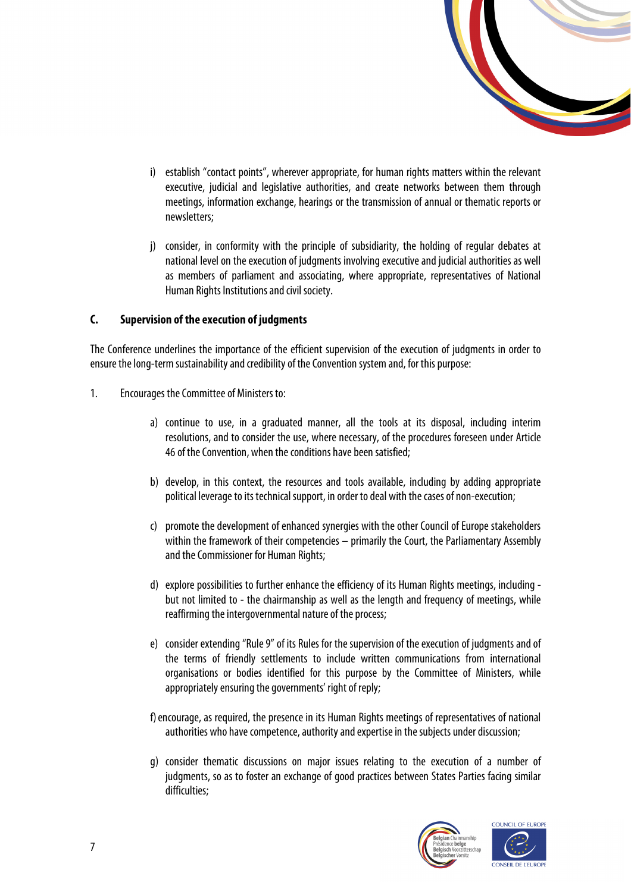

- i) establish "contact points", wherever appropriate, for human rights matters within the relevant executive, judicial and legislative authorities, and create networks between them through meetings, information exchange, hearings or the transmission of annual or thematic reports or newsletters;
- j) consider, in conformity with the principle of subsidiarity, the holding of regular debates at national level on the execution of judgments involving executive and judicial authorities as well as members of parliament and associating, where appropriate, representatives of National Human Rights Institutions and civil society.

### **C. Supervision of the execution of judgments**

The Conference underlines the importance of the efficient supervision of the execution of judgments in order to ensure the long-term sustainability and credibility of the Convention system and, for this purpose:

- 1. Encourages the Committee of Ministers to:
	- a) continue to use, in a graduated manner, all the tools at its disposal, including interim resolutions, and to consider the use, where necessary, of the procedures foreseen under Article 46 of the Convention, when the conditions have been satisfied;
	- b) develop, in this context, the resources and tools available, including by adding appropriate political leverage to its technical support, in order to deal with the cases of non-execution;
	- c) promote the development of enhanced synergies with the other Council of Europe stakeholders within the framework of their competencies – primarily the Court, the Parliamentary Assembly and the Commissioner for Human Rights;
	- d) explore possibilities to further enhance the efficiency of its Human Rights meetings, including but not limited to - the chairmanship as well as the length and frequency of meetings, while reaffirming the intergovernmental nature of the process;
	- e) consider extending "Rule 9" of its Rules for the supervision of the execution of judgments and of the terms of friendly settlements to include written communications from international organisations or bodies identified for this purpose by the Committee of Ministers, while appropriately ensuring the governments' right of reply;
	- f) encourage, as required, the presence in its Human Rights meetings of representatives of national authorities who have competence, authority and expertise in the subjects under discussion;
	- g) consider thematic discussions on major issues relating to the execution of a number of judgments, so as to foster an exchange of good practices between States Parties facing similar difficulties;



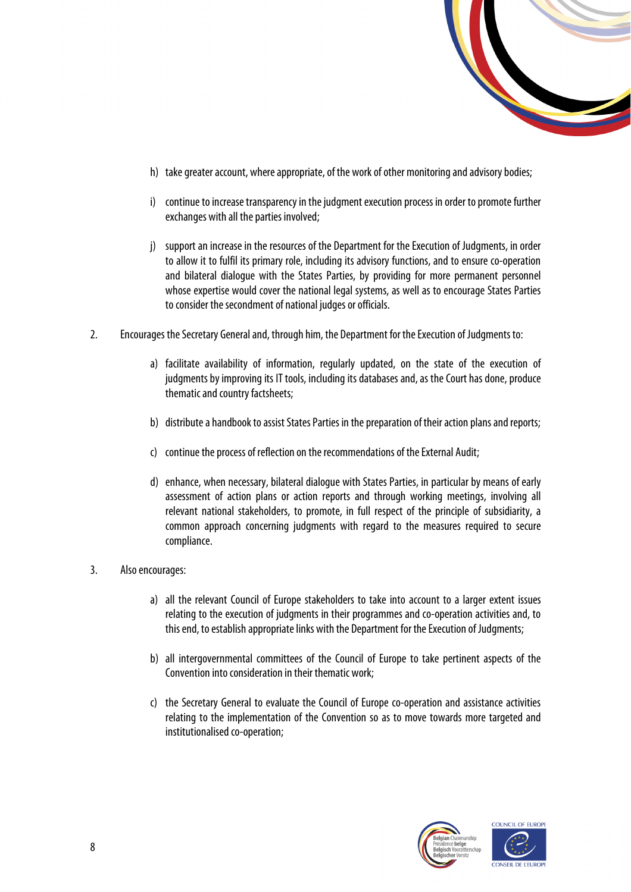

- h) take greater account, where appropriate, of the work of other monitoring and advisory bodies;
- i) continue to increase transparency in the judgment execution process in order to promote further exchanges with all the parties involved;
- j) support an increase in the resources of the Department for the Execution of Judgments, in order to allow it to fulfil its primary role, including its advisory functions, and to ensure co-operation and bilateral dialogue with the States Parties, by providing for more permanent personnel whose expertise would cover the national legal systems, as well as to encourage States Parties to consider the secondment of national judges or officials.
- 2. Encourages the Secretary General and, through him, the Department for the Execution of Judgments to:
	- a) facilitate availability of information, regularly updated, on the state of the execution of judgments by improving its IT tools, including its databases and, as the Court has done, produce thematic and country factsheets;
	- b) distribute a handbook to assist States Parties in the preparation of their action plans and reports;
	- c) continue the process of reflection on the recommendations of the External Audit;
	- d) enhance, when necessary, bilateral dialogue with States Parties, in particular by means of early assessment of action plans or action reports and through working meetings, involving all relevant national stakeholders, to promote, in full respect of the principle of subsidiarity, a common approach concerning judgments with regard to the measures required to secure compliance.
- 3. Also encourages:
	- a) all the relevant Council of Europe stakeholders to take into account to a larger extent issues relating to the execution of judgments in their programmes and co-operation activities and, to this end, to establish appropriate links with the Department for the Execution of Judgments;
	- b) all intergovernmental committees of the Council of Europe to take pertinent aspects of the Convention into consideration in their thematic work;
	- c) the Secretary General to evaluate the Council of Europe co-operation and assistance activities relating to the implementation of the Convention so as to move towards more targeted and institutionalised co-operation;